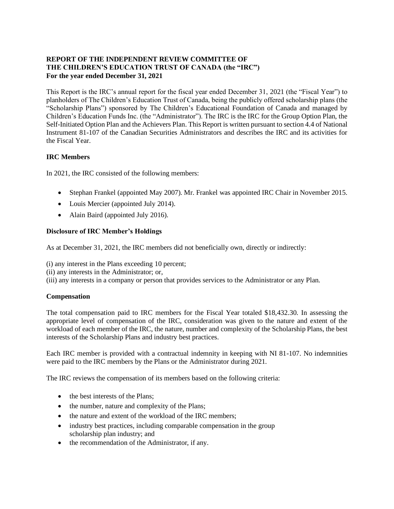# **REPORT OF THE INDEPENDENT REVIEW COMMITTEE OF THE CHILDREN'S EDUCATION TRUST OF CANADA (the "IRC") For the year ended December 31, 2021**

This Report is the IRC's annual report for the fiscal year ended December 31, 2021 (the "Fiscal Year") to planholders of The Children's Education Trust of Canada, being the publicly offered scholarship plans (the "Scholarship Plans") sponsored by The Children's Educational Foundation of Canada and managed by Children's Education Funds Inc. (the "Administrator"). The IRC is the IRC for the Group Option Plan, the Self-Initiated Option Plan and the Achievers Plan. This Report is written pursuant to section 4.4 of National Instrument 81-107 of the Canadian Securities Administrators and describes the IRC and its activities for the Fiscal Year.

# **IRC Members**

In 2021, the IRC consisted of the following members:

- Stephan Frankel (appointed May 2007). Mr. Frankel was appointed IRC Chair in November 2015.
- Louis Mercier (appointed July 2014).
- Alain Baird (appointed July 2016).

# **Disclosure of IRC Member's Holdings**

As at December 31, 2021, the IRC members did not beneficially own, directly or indirectly:

(i) any interest in the Plans exceeding 10 percent;

(ii) any interests in the Administrator; or,

(iii) any interests in a company or person that provides services to the Administrator or any Plan.

# **Compensation**

The total compensation paid to IRC members for the Fiscal Year totaled \$18,432.30. In assessing the appropriate level of compensation of the IRC, consideration was given to the nature and extent of the workload of each member of the IRC, the nature, number and complexity of the Scholarship Plans, the best interests of the Scholarship Plans and industry best practices.

Each IRC member is provided with a contractual indemnity in keeping with NI 81-107. No indemnities were paid to the IRC members by the Plans or the Administrator during 2021.

The IRC reviews the compensation of its members based on the following criteria:

- the best interests of the Plans;
- the number, nature and complexity of the Plans;
- the nature and extent of the workload of the IRC members;
- industry best practices, including comparable compensation in the group scholarship plan industry; and
- the recommendation of the Administrator, if any.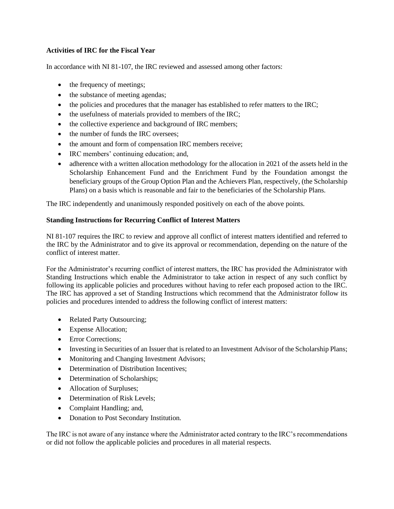#### **Activities of IRC for the Fiscal Year**

In accordance with NI 81-107, the IRC reviewed and assessed among other factors:

- the frequency of meetings;
- the substance of meeting agendas;
- the policies and procedures that the manager has established to refer matters to the IRC;
- the usefulness of materials provided to members of the IRC;
- the collective experience and background of IRC members;
- the number of funds the IRC oversees:
- the amount and form of compensation IRC members receive;
- IRC members' continuing education; and,
- adherence with a written allocation methodology for the allocation in 2021 of the assets held in the Scholarship Enhancement Fund and the Enrichment Fund by the Foundation amongst the beneficiary groups of the Group Option Plan and the Achievers Plan, respectively, (the Scholarship Plans) on a basis which is reasonable and fair to the beneficiaries of the Scholarship Plans.

The IRC independently and unanimously responded positively on each of the above points.

#### **Standing Instructions for Recurring Conflict of Interest Matters**

NI 81-107 requires the IRC to review and approve all conflict of interest matters identified and referred to the IRC by the Administrator and to give its approval or recommendation, depending on the nature of the conflict of interest matter.

For the Administrator's recurring conflict of interest matters, the IRC has provided the Administrator with Standing Instructions which enable the Administrator to take action in respect of any such conflict by following its applicable policies and procedures without having to refer each proposed action to the IRC. The IRC has approved a set of Standing Instructions which recommend that the Administrator follow its policies and procedures intended to address the following conflict of interest matters:

- Related Party Outsourcing;
- Expense Allocation;
- Error Corrections;
- Investing in Securities of an Issuer that is related to an Investment Advisor of the Scholarship Plans;
- Monitoring and Changing Investment Advisors;
- Determination of Distribution Incentives:
- Determination of Scholarships;
- Allocation of Surpluses;
- Determination of Risk Levels;
- Complaint Handling; and,
- Donation to Post Secondary Institution.

The IRC is not aware of any instance where the Administrator acted contrary to the IRC's recommendations or did not follow the applicable policies and procedures in all material respects.